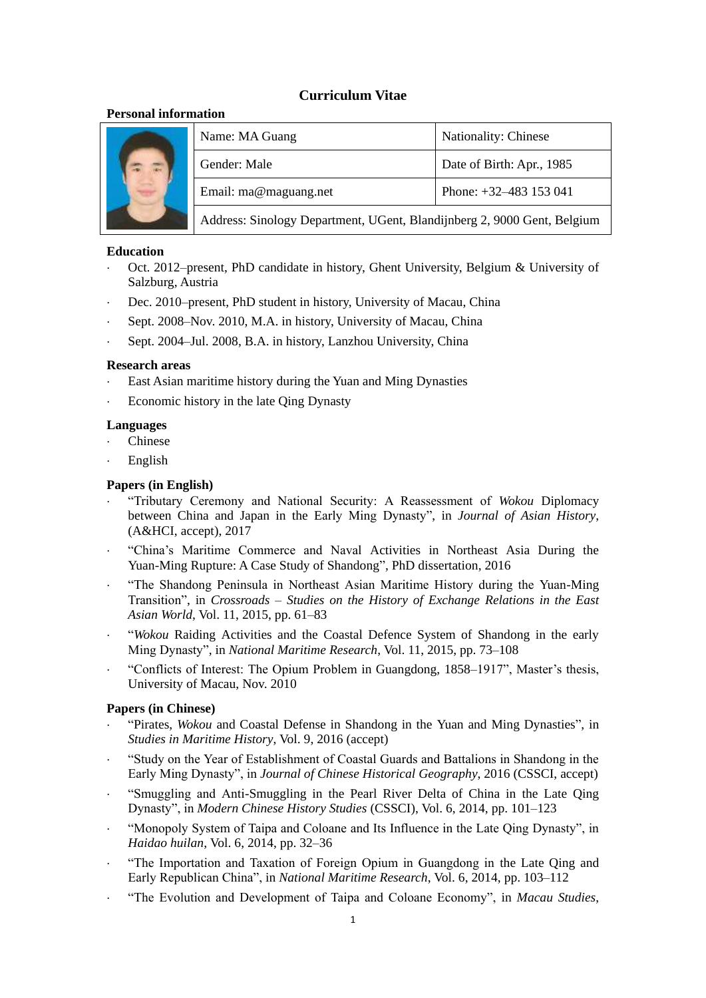# **Curriculum Vitae**

## **Personal information**

|  | Name: MA Guang                                                          | Nationality: Chinese      |
|--|-------------------------------------------------------------------------|---------------------------|
|  | Gender: Male                                                            | Date of Birth: Apr., 1985 |
|  | Email: ma@maguang.net                                                   | Phone: $+32-483$ 153 041  |
|  | Address: Sinology Department, UGent, Blandijnberg 2, 9000 Gent, Belgium |                           |

### **Education**

- Oct. 2012–present, PhD candidate in history, Ghent University, Belgium & University of Salzburg, Austria
- Dec. 2010–present, PhD student in history, University of Macau, China
- Sept. 2008–Nov. 2010, M.A. in history, University of Macau, China
- Sept. 2004–Jul. 2008, B.A. in history, Lanzhou University, China

### **Research areas**

- East Asian maritime history during the Yuan and Ming Dynasties
- Economic history in the late Qing Dynasty

## **Languages**

- Chinese
- English

# **Papers (in English)**

- "Tributary Ceremony and National Security: A Reassessment of *Wokou* Diplomacy between China and Japan in the Early Ming Dynasty", in *Journal of Asian History*, (A&HCI, accept), 2017
- "China's Maritime Commerce and Naval Activities in Northeast Asia During the Yuan-Ming Rupture: A Case Study of Shandong", PhD dissertation, 2016
- "The Shandong Peninsula in Northeast Asian Maritime History during the Yuan-Ming Transition", in *Crossroads – Studies on the History of Exchange Relations in the East Asian World*, Vol. 11, 2015, pp. 61–83
- "*Wokou* Raiding Activities and the Coastal Defence System of Shandong in the early Ming Dynasty", in *National Maritime Research*, Vol. 11, 2015, pp. 73–108
- "Conflicts of Interest: The Opium Problem in Guangdong, 1858–1917", Master's thesis, University of Macau, Nov. 2010

### **Papers (in Chinese)**

- "Pirates, *Wokou* and Coastal Defense in Shandong in the Yuan and Ming Dynasties", in *Studies in Maritime History*, Vol. 9, 2016 (accept)
- "Study on the Year of Establishment of Coastal Guards and Battalions in Shandong in the Early Ming Dynasty", in *Journal of Chinese Historical Geography*, 2016 (CSSCI, accept)
- "Smuggling and Anti-Smuggling in the Pearl River Delta of China in the Late Qing Dynasty", in *Modern Chinese History Studies* (CSSCI), Vol. 6, 2014, pp. 101–123
- "Monopoly System of Taipa and Coloane and Its Influence in the Late Qing Dynasty", in *Haidao huilan*, Vol. 6, 2014, pp. 32–36
- "The Importation and Taxation of Foreign Opium in Guangdong in the Late Qing and Early Republican China", in *National Maritime Research*, Vol. 6, 2014, pp. 103–112
- "The Evolution and Development of Taipa and Coloane Economy", in *Macau Studies*,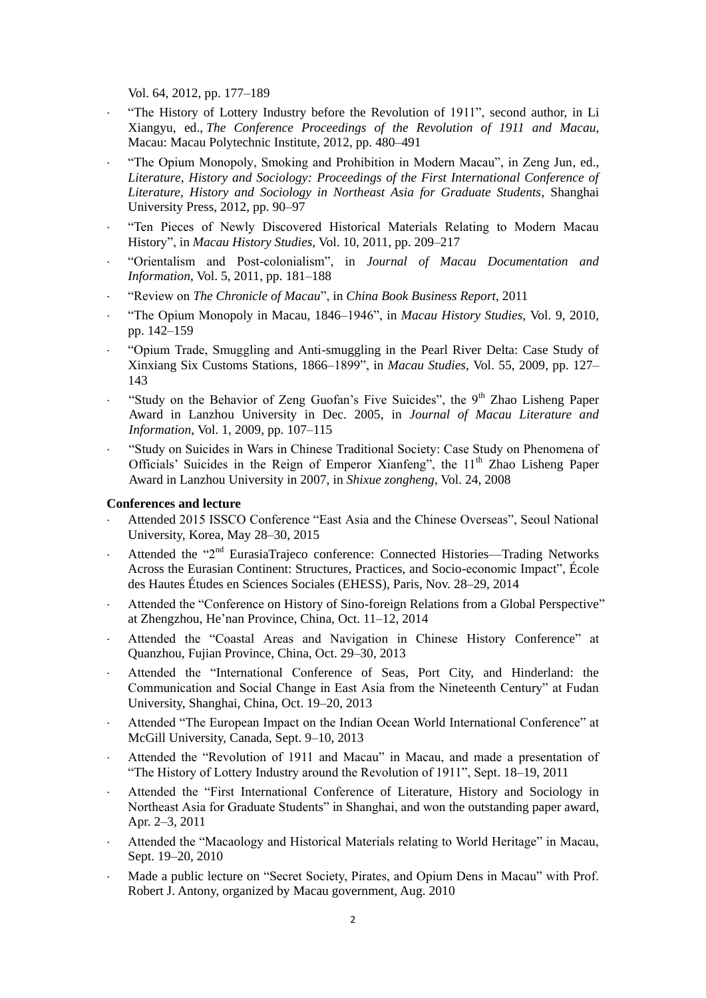Vol. 64, 2012, pp. 177–189

- "The History of Lottery Industry before the Revolution of 1911", second author, in Li Xiangyu, ed., *The Conference Proceedings of the Revolution of 1911 and Macau*, Macau: Macau Polytechnic Institute, 2012, pp. 480–491
- "The Opium Monopoly, Smoking and Prohibition in Modern Macau", in Zeng Jun, ed., *Literature, History and Sociology: Proceedings of the First International Conference of Literature, History and Sociology in Northeast Asia for Graduate Students*, Shanghai University Press, 2012, pp. 90–97
- "Ten Pieces of Newly Discovered Historical Materials Relating to Modern Macau History", in *Macau History Studies,* Vol. 10, 2011, pp. 209–217
- "Orientalism and Post-colonialism", in *Journal of Macau Documentation and Information*, Vol. 5, 2011, pp. 181–188
- "Review on *The Chronicle of Macau*", in *China Book Business Report*, 2011
- "The Opium Monopoly in Macau, 1846–1946", in *Macau History Studies*, Vol. 9, 2010, pp. 142–159
- "Opium Trade, Smuggling and Anti-smuggling in the Pearl River Delta: Case Study of Xinxiang Six Customs Stations, 1866–1899", in *Macau Studies*, Vol. 55, 2009, pp. 127– 143
- "Study on the Behavior of Zeng Guofan's Five Suicides", the  $9<sup>th</sup>$  Zhao Lisheng Paper Award in Lanzhou University in Dec. 2005, in *Journal of Macau Literature and Information*, Vol. 1, 2009, pp. 107–115
- "Study on Suicides in Wars in Chinese Traditional Society: Case Study on Phenomena of Officials' Suicides in the Reign of Emperor Xianfeng", the  $11<sup>th</sup>$  Zhao Lisheng Paper Award in Lanzhou University in 2007, in *Shixue zongheng*, Vol. 24, 2008

#### **Conferences and lecture**

- Attended 2015 ISSCO Conference "East Asia and the Chinese Overseas", Seoul National University, Korea, May 28–30, 2015
- Attended the "2<sup>nd</sup> EurasiaTrajeco conference: Connected Histories—Trading Networks Across the Eurasian Continent: Structures, Practices, and Socio-economic Impact", École des Hautes Études en Sciences Sociales (EHESS), Paris, Nov. 28–29, 2014
- Attended the "Conference on History of Sino-foreign Relations from a Global Perspective" at Zhengzhou, He'nan Province, China, Oct. 11–12, 2014
- Attended the "Coastal Areas and Navigation in Chinese History Conference" at Quanzhou, Fujian Province, China, Oct. 29–30, 2013
- Attended the "International Conference of Seas, Port City, and Hinderland: the Communication and Social Change in East Asia from the Nineteenth Century" at Fudan University, Shanghai, China, Oct. 19–20, 2013
- Attended "The European Impact on the Indian Ocean World International Conference" at McGill University, Canada, Sept. 9–10, 2013
- Attended the "Revolution of 1911 and Macau" in Macau, and made a presentation of "The History of Lottery Industry around the Revolution of 1911", Sept. 18–19, 2011
- Attended the "First International Conference of Literature, History and Sociology in Northeast Asia for Graduate Students" in Shanghai, and won the outstanding paper award, Apr. 2–3, 2011
- Attended the "Macaology and Historical Materials relating to World Heritage" in Macau, Sept. 19–20, 2010
- Made a public lecture on "Secret Society, Pirates, and Opium Dens in Macau" with Prof. Robert J. Antony, organized by Macau government, Aug. 2010